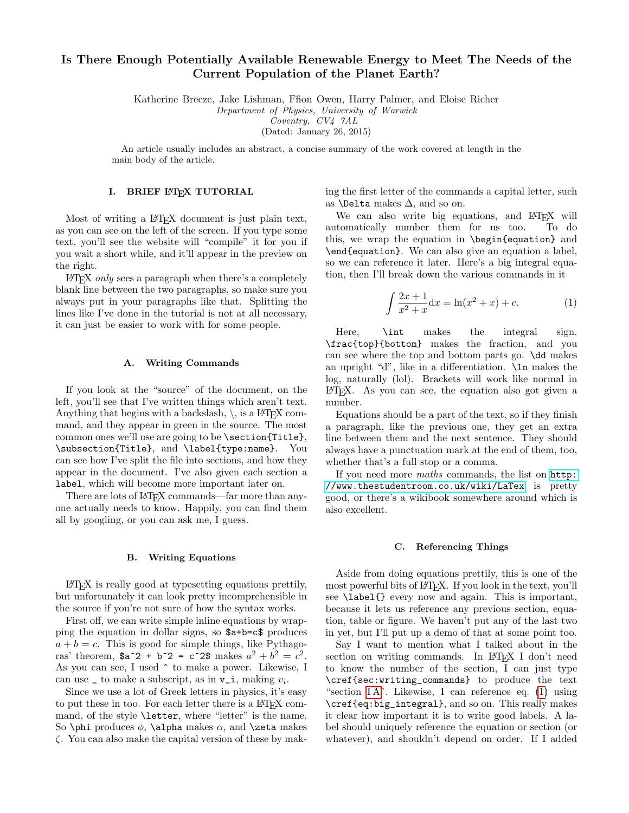# Is There Enough Potentially Available Renewable Energy to Meet The Needs of the Current Population of the Planet Earth?

Katherine Breeze, Jake Lishman, Ffion Owen, Harry Palmer, and Eloise Richer

Department of Physics, University of Warwick

Coventry, CV4 7AL

(Dated: January 26, 2015)

An article usually includes an abstract, a concise summary of the work covered at length in the main body of the article.

## I. BRIEF LATEX TUTORIAL

Most of writing a IAT<sub>E</sub>X document is just plain text, as you can see on the left of the screen. If you type some text, you'll see the website will "compile" it for you if you wait a short while, and it'll appear in the preview on the right.

 $\Delta E$ FIFX *only* sees a paragraph when there's a completely blank line between the two paragraphs, so make sure you always put in your paragraphs like that. Splitting the lines like I've done in the tutorial is not at all necessary, it can just be easier to work with for some people.

#### <span id="page-0-0"></span>A. Writing Commands

If you look at the "source" of the document, on the left, you'll see that I've written things which aren't text. Anything that begins with a backslash,  $\backslash$ , is a LAT<sub>EX</sub> command, and they appear in green in the source. The most common ones we'll use are going to be \section{Title}, \subsection{Title}, and \label{type:name}. You can see how I've split the file into sections, and how they appear in the document. I've also given each section a label, which will become more important later on.

There are lots of LATEX commands—far more than anyone actually needs to know. Happily, you can find them all by googling, or you can ask me, I guess.

## B. Writing Equations

LATEX is really good at typesetting equations prettily, but unfortunately it can look pretty incomprehensible in the source if you're not sure of how the syntax works.

First off, we can write simple inline equations by wrapping the equation in dollar signs, so \$a+b=c\$ produces  $a + b = c$ . This is good for simple things, like Pythagoras' theorem,  $a^2 + b^2 = c^2$  makes  $a^2 + b^2 = c^2$ . As you can see, I used ^ to make a power. Likewise, I can use  $\Box$  to make a subscript, as in  $v_i$ , making  $v_i$ .

Since we use a lot of Greek letters in physics, it's easy to put these in too. For each letter there is a LAT<sub>EX</sub> command, of the style **\letter**, where "letter" is the name. So \phi produces  $\phi$ , \alpha makes  $\alpha$ , and \zeta makes ζ. You can also make the capital version of these by making the first letter of the commands a capital letter, such as **\Delta** makes  $\Delta$ , and so on.

We can also write big equations, and L<sup>AT</sup>EX will<br>tomatically number them for us too. To do automatically number them for us too. this, we wrap the equation in \begin{equation} and \end{equation}. We can also give an equation a label, so we can reference it later. Here's a big integral equation, then I'll break down the various commands in it

<span id="page-0-1"></span>
$$
\int \frac{2x+1}{x^2+x} dx = \ln(x^2+x) + c.
$$
 (1)

Here,  $\int$ int makes the integral sign. \frac{top}{bottom} makes the fraction, and you can see where the top and bottom parts go. \dd makes an upright "d", like in a differentiation. \ln makes the log, naturally (lol). Brackets will work like normal in LATEX. As you can see, the equation also got given a number.

Equations should be a part of the text, so if they finish a paragraph, like the previous one, they get an extra line between them and the next sentence. They should always have a punctuation mark at the end of them, too, whether that's a full stop or a comma.

If you need more maths commands, the list on [http:](http://www.thestudentroom.co.uk/wiki/LaTex) [//www.thestudentroom.co.uk/wiki/LaTex](http://www.thestudentroom.co.uk/wiki/LaTex) is pretty good, or there's a wikibook somewhere around which is also excellent.

#### C. Referencing Things

Aside from doing equations prettily, this is one of the most powerful bits of LAT<sub>EX</sub>. If you look in the text, you'll see **\label{}** every now and again. This is important, because it lets us reference any previous section, equation, table or figure. We haven't put any of the last two in yet, but I'll put up a demo of that at some point too.

Say I want to mention what I talked about in the section on writing commands. In LAT<sub>EX</sub> I don't need to know the number of the section, I can just type \cref{sec:writing\_commands} to produce the text "section  $IA$ ". Likewise, I can reference eq.  $(1)$  using \cref{eq:big\_integral}, and so on. This really makes it clear how important it is to write good labels. A label should uniquely reference the equation or section (or whatever), and shouldn't depend on order. If I added